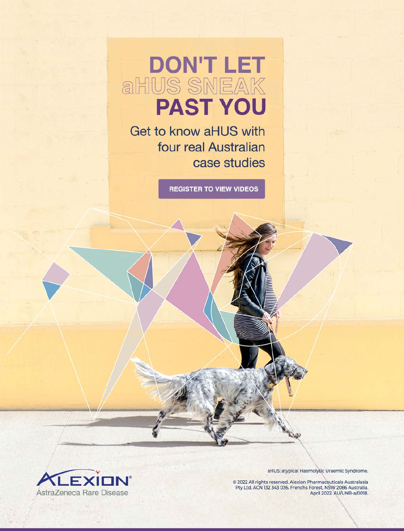# **DON'T LET aHUS SNEAK PAST YOU**

Get to know aHUS with four real Australian case studies

**REGISTER TO VIEW VIDEOS** 



aHUS: atypical Haemolytic Uraemic Syndrome.

© 2022 All rights reserved. Alexion Pharmaceuticals Australasia Pty Ltd. ACN 132 343 036. Frenchs Forest, NSW 2086 Australia.<br>Pty Ltd. ACN 132 343 036. Frenchs Forest, NSW 2086 Australia.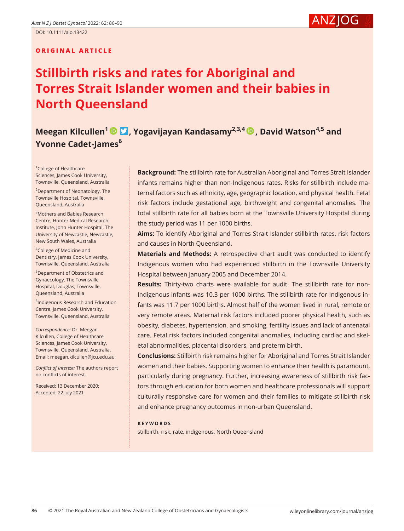#### **ORIGINAL ARTICLE**

## **Stillbirth risks and rates for Aboriginal and Torres Strait Islander women and their babies in North Queensland**

### **Meegan Kilcullen<sup>[1](https://orcid.org/0000-0003-2473-727X)</sup> <b>D**[,](https://orcid.org/0000-0002-7645-8398) Yogavijayan Kandasamy<sup>2,3,4</sup> **D**, David Watson<sup>4,5</sup> and **Yvonne Cadet-James<sup>6</sup>**

<sup>1</sup>College of Healthcare Sciences, James Cook University, Townsville, Queensland, Australia

<sup>2</sup>Department of Neonatology, The Townsville Hospital, Townsville, Queensland, Australia

3 Mothers and Babies Research Centre, Hunter Medical Research Institute, John Hunter Hospital, The University of Newcastle, Newcastle, New South Wales, Australia

<sup>4</sup>College of Medicine and Dentistry, James Cook University, Townsville, Queensland, Australia

5 Department of Obstetrics and Gynaecology, The Townsville Hospital, Douglas, Townsville, Queensland, Australia

6 Indigenous Research and Education Centre, James Cook University, Townsville, Queensland, Australia

*Correspondence:* Dr. Meegan Kilcullen, College of Healthcare Sciences, James Cook University, Townsville, Queensland, Australia. Email: [meegan.kilcullen@jcu.edu.au](mailto:meegan.kilcullen@jcu.edu.au)

*Conflict of Interest:* The authors report no conflicts of interest.

Received: 13 December 2020; Accepted: 22 July 2021

**Background:** The stillbirth rate for Australian Aboriginal and Torres Strait Islander infants remains higher than non-Indigenous rates. Risks for stillbirth include maternal factors such as ethnicity, age, geographic location, and physical health. Fetal risk factors include gestational age, birthweight and congenital anomalies. The total stillbirth rate for all babies born at the Townsville University Hospital during the study period was 11 per 1000 births.

**Aims:** To identify Aboriginal and Torres Strait Islander stillbirth rates, risk factors and causes in North Queensland.

**Materials and Methods:** A retrospective chart audit was conducted to identify Indigenous women who had experienced stillbirth in the Townsville University Hospital between January 2005 and December 2014.

**Results:** Thirty-two charts were available for audit. The stillbirth rate for non-Indigenous infants was 10.3 per 1000 births. The stillbirth rate for Indigenous infants was 11.7 per 1000 births. Almost half of the women lived in rural, remote or very remote areas. Maternal risk factors included poorer physical health, such as obesity, diabetes, hypertension, and smoking, fertility issues and lack of antenatal care. Fetal risk factors included congenital anomalies, including cardiac and skeletal abnormalities, placental disorders, and preterm birth.

**Conclusions:** Stillbirth risk remains higher for Aboriginal and Torres Strait Islander women and their babies. Supporting women to enhance their health is paramount, particularly during pregnancy. Further, increasing awareness of stillbirth risk factors through education for both women and healthcare professionals will support culturally responsive care for women and their families to mitigate stillbirth risk and enhance pregnancy outcomes in non-urban Queensland.

#### **KEYWORDS**

stillbirth, risk, rate, indigenous, North Queensland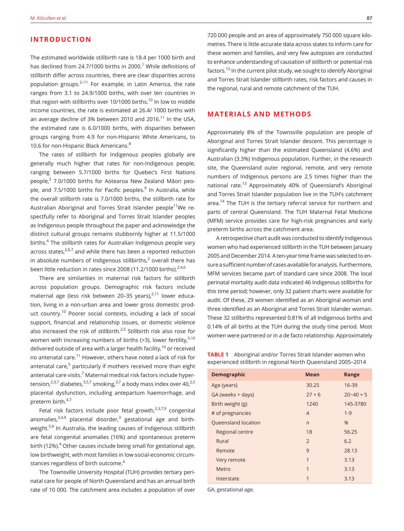#### **INTRODUCTION**

The estimated worldwide stillbirth rate is 18.4 per 1000 birth and has declined from 24.7/1000 births in 2000. $^1$  While definitions of stillbirth differ across countries, there are clear disparities across population groups.<sup>2-11</sup> For example, in Latin America, the rate ranges from 3.1 to 24.9/1000 births, with over ten countries in that region with stillbirths over 10/1000 births.<sup>10</sup> In low to middle income countries, the rate is estimated at 26.4/ 1000 births with an average decline of 3% between 2010 and 2016.<sup>11</sup> In the USA, the estimated rate is 6.0/1000 births, with disparities between groups ranging from 4.9 for non-Hispanic White Americans, to 10.6 for non-Hispanic Black Americans.<sup>8</sup>

The rates of stillbirth for Indigenous peoples globally are generally much higher that rates for non-Indigenous people, ranging between 5.7/1000 births for Quebec's First Nations people,<sup>3</sup> 7.0/1000 births for Aotearoa New Zealand Māori people, and 7.5/1000 births for Pacific peoples.<sup>9</sup> In Australia, while the overall stillbirth rate is 7.0/1000 births, the stillbirth rate for Australian Aboriginal and Torres Strait Islander people<sup>11</sup>We respectfully refer to Aboriginal and Torres Strait Islander peoples as Indigenous people throughout the paper and acknowledge the distinct cultural groups remains stubbornly higher at 11.5/1000 births.<sup>4</sup> The stillbirth rates for Australian Indigenous people vary across states, $2.6,7$  and while there has been a reported reduction in absolute numbers of Indigenous stillbirths, $2$  overall there has been little reduction in rates since 2008 (11.2/1000 births). $2,4,6$ 

There are similarities in maternal risk factors for stillbirth across population groups. Demographic risk factors include maternal age (less risk between 20-35 years), $2,11$  lower education, living in a non-urban area and lower gross domestic product country.10 Poorer social contexts, including a lack of social support, financial and relationship issues, or domestic violence also increased the risk of stillbirth.<sup>2,5</sup> Stillbirth risk also rose for women with increasing numbers of births  $(>3)$ , lower fertility,  $5,10$ delivered outside of area with a larger health facility, $10$  or received no antenatal care.<sup>11</sup> However, others have noted a lack of risk for antenatal care,<sup>5</sup> particularly if mothers received more than eight antenatal care visits.<sup>7</sup> Maternal medical risk factors include hypertension, $2,3,7$  diabetes, $3,5,7$  smoking, $3,7$  a body mass index over 40, $2,5$ placental dysfunction, including antepartum haemorrhage, and preterm birth.<sup>4,7</sup>

Fetal risk factors include poor fetal growth, $2,3,7,9$  congenital anomalies,<sup>3,4,9</sup> placental disorder,<sup>3</sup> gestational age and birthweight.<sup>5,9</sup> In Australia, the leading causes of Indigenous stillbirth are fetal congenital anomalies (16%) and spontaneous preterm birth (12%).<sup>4</sup> Other causes include being small for gestational age, low birthweight, with most families in low social-economic circumstances regardless of birth outcome.<sup>4</sup>

The Townsville University Hospital (TUH) provides tertiary perinatal care for people of North Queensland and has an annual birth rate of 10 000. The catchment area includes a population of over 720 000 people and an area of approximately 750 000 square kilometres. There is little accurate data across states to inform care for these women and families, and very few autopsies are conducted to enhance understanding of causation of stillbirth or potential risk factors.12 In the current pilot study, we sought to identify Aboriginal and Torres Strait Islander stillbirth rates, risk factors and causes in the regional, rural and remote catchment of the TUH.

#### **MATERIALS AND METHODS**

Approximately 8% of the Townsville population are people of Aboriginal and Torres Strait Islander descent. This percentage is significantly higher than the estimated Queensland (4.6%) and Australian (3.3%) Indigenous population. Further, in the research site, the Queensland outer regional, remote, and very remote numbers of Indigenous persons are 2.5 times higher than the national rate.<sup>13</sup> Approximately 40% of Queensland's Aboriginal and Torres Strait Islander population live in the TUH's catchment area.<sup>14</sup> The TUH is the tertiary referral service for northern and parts of central Queensland. The TUH Maternal Fetal Medicine (MFM) service provides care for high-risk pregnancies and early preterm births across the catchment area.

A retrospective chart audit was conducted to identify Indigenous women who had experienced stillbirth in the TUH between January 2005 and December 2014. A ten-year time frame was selected to ensure a sufficient number of cases available for analysis. Furthermore, MFM services became part of standard care since 2008. The local perinatal mortality audit data indicated 46 Indigenous stillbirths for this time period; however, only 32 patient charts were available for audit. Of these, 29 women identified as an Aboriginal woman and three identified as an Aboriginal and Torres Strait Islander woman. These 32 stillbirths represented 0.81% of all Indigenous births and 0.14% of all births at the TUH during the study time period. Most women were partnered or in a de facto relationship. Approximately

**TABLE 1** Aboriginal and/or Torres Strait Islander women who experienced stillbirth in regional North Queensland 2005–2014

| <b>Demographic</b>  | <b>Mean</b>    | Range         |
|---------------------|----------------|---------------|
| Age (years)         | 30.25          | 16-39         |
| GA (weeks + days)   | $27 + 6$       | $20 - 40 + 5$ |
| Birth weight (g)    | 1240           | 145-3780      |
| # of pregnancies    | $\overline{4}$ | $1 - 9$       |
| Queensland location | $\sqrt{n}$     | %             |
| Regional centre     | 18             | 56.25         |
| Rural               | $\overline{2}$ | 6.2           |
| Remote              | $\mathsf{Q}$   | 28.13         |
| Very remote         | 1              | 3.13          |
| Metro               | 1              | 3.13          |
| Interstate          | 1              | 3.13          |

GA, gestational age.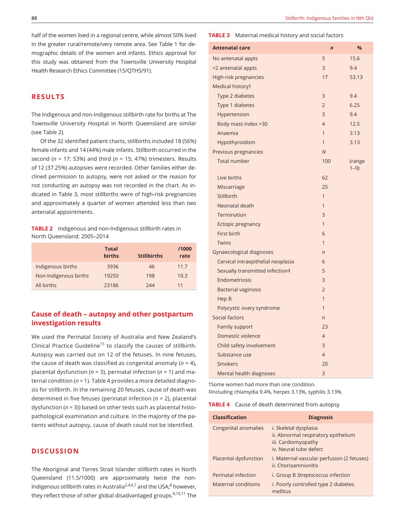half of the women lived in a regional centre, while almost 50% lived in the greater rural/remote/very remote area. See Table 1 for demographic details of the women and infants. Ethics approval for this study was obtained from the Townsville University Hospital Health Research Ethics Committee (15/QTHS/91).

#### **RESULTS**

The Indigenous and non-Indigenous stillbirth rate for births at The Townsville University Hospital in North Queensland are similar (see Table 2).

Of the 32 identified patient charts, stillbirths included 18 (56%) female infants and 14 (44%) male infants. Stillbirth occurred in the second (*n* = 17; 53%) and third (*n* = 15; 47%) trimesters. Results of 12 (37.25%) autopsies were recorded. Other families either declined permission to autopsy, were not asked or the reason for not conducting an autopsy was not recorded in the chart. As indicated in Table 3, most stillbirths were of high-risk pregnancies and approximately a quarter of women attended less than two antenatal appointments.

**TABLE 2** Indigenous and non-Indigenous stillbirth rates in North Queensland: 2005–2014

|                       | <b>Total</b><br><b>births</b> | <b>Stillbirths</b> | /1000<br>rate |
|-----------------------|-------------------------------|--------------------|---------------|
| Indigenous births     | 3936                          | 46                 | 11.7          |
| Non-Indigenous births | 19250                         | 198                | 10.3          |
| All births            | 23186                         | 244                | 11            |

#### **Cause of death – autopsy and other postpartum investigation results**

We used the Perinatal Society of Australia and New Zealand's Clinical Practice Guideline<sup>15</sup> to classify the causes of stillbirth. Autopsy was carried out on 12 of the fetuses. In nine fetuses, the cause of death was classified as congenital anomaly (*n* = 4), placental dysfunction (*n* = 3), perinatal infection (*n* = 1) and maternal condition (*n* = 1). Table 4 provides a more detailed diagnosis for stillbirth. In the remaining 20 fetuses, cause of death was determined in five fetuses (perinatal infection (*n* = 2), placental dysfunction (*n* = 3)) based on other tests such as placental histopathological examination and culture. In the majority of the patients without autopsy, cause of death could not be identified.

#### **DISCUSSION**

The Aboriginal and Torres Strait Islander stillbirth rates in North Queensland (11.5/1000) are approximately twice the non-Indigenous stillbirth rates in Australia<sup>2,4,6,7</sup> and the USA;<sup>8</sup> however, they reflect those of other global disadvantaged groups. $8,10,11$  The

#### **TABLE 3** Maternal medical history and social factors

| <b>Antenatal care</b>              | $\overline{ }$ | %                  |
|------------------------------------|----------------|--------------------|
| No antenatal appts                 | 5              | 15.6               |
| <2 antenatal appts                 | 3              | 9.4                |
| High-risk pregnancies              | 17             | 53.13              |
| Medical historyt                   |                |                    |
| Type 2 diabetes                    | 3              | 9.4                |
| Type 1 diabetes                    | $\overline{2}$ | 6.25               |
| Hypertension                       | 3              | 9.4                |
| Body mass index >30                | $\overline{4}$ | 12.5               |
| Anaemia                            | $\mathbf{1}$   | 3.13               |
| Hypothyroidism                     | $\mathbf{1}$   | 3.13               |
| Previous pregnancies               | $\overline{N}$ |                    |
| <b>Total number</b>                | 100            | (range<br>$1 - 9)$ |
| Live births                        | 62             |                    |
| Miscarriage                        | 25             |                    |
| Stillbirth                         | 1              |                    |
| Neonatal death                     | $\overline{1}$ |                    |
| Termination                        | 3              |                    |
| Ectopic pregnancy                  | $\mathbf{1}$   |                    |
| First birth                        | 6              |                    |
| Twins                              | $\mathbf{1}$   |                    |
| Gynaecological diagnoses           | $\overline{n}$ |                    |
| Cervical intraepithelial neoplasia | 6              |                    |
| Sexually transmitted infection‡    | 5              |                    |
| Endometriosis                      | 3              |                    |
| <b>Bacterial vaginosis</b>         | $\overline{2}$ |                    |
| Hep B                              | 1              |                    |
| Polycystic ovary syndrome          | 1              |                    |
| Social factors                     | $\overline{n}$ |                    |
| Family support                     | 23             |                    |
| Domestic violence                  | $\overline{4}$ |                    |
| Child safety involvement           | 3              |                    |
| Substance use                      | $\overline{4}$ |                    |
| <b>Smokers</b>                     | 20             |                    |
| Mental health diagnoses            | 3              |                    |

†Some women had more than one condition. ‡Including chlamydia 9.4%, herpes 3.13%, syphilis 3.13%.

**TABLE 4** Cause of death determined from autopsy

| <b>Classification</b> | <b>Diagnosis</b>                                                                                              |
|-----------------------|---------------------------------------------------------------------------------------------------------------|
| Congenital anomalies  | i. Skeletal dysplasia<br>ii. Abnormal respiratory epithelium<br>iii. Cardiomyopathy<br>iv. Neural tube defect |
| Placental dysfunction | i. Maternal vascular perfusion (2 fetuses)<br>ii. Chorioamnionitis                                            |
| Perinatal infection   | i. Group B Streptococcus infection                                                                            |
| Maternal conditions   | i. Poorly controlled type 2 diabetes<br>mellitus                                                              |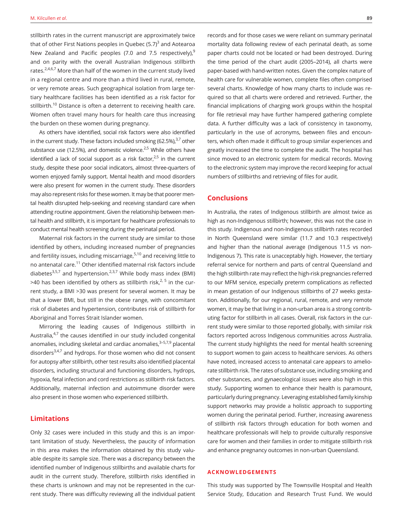stillbirth rates in the current manuscript are approximately twice that of other First Nations peoples in Quebec (5.7) $^3$  and Aotearoa New Zealand and Pacific peoples (7.0 and 7.5 respectively), $9$ and on parity with the overall Australian Indigenous stillbirth rates.<sup>2,4,6,7</sup> More than half of the women in the current study lived in a regional centre and more than a third lived in rural, remote, or very remote areas. Such geographical isolation from large tertiary healthcare facilities has been identified as a risk factor for stillbirth.<sup>10</sup> Distance is often a deterrent to receiving health care. Women often travel many hours for health care thus increasing the burden on these women during pregnancy.

As others have identified, social risk factors were also identified in the current study. These factors included smoking (62.5%), $37$  other substance use (12.5%), and domestic violence. $2.5$  While others have identified a lack of social support as a risk factor, $2.5$  in the current study, despite these poor social indicators, almost three-quarters of women enjoyed family support. Mental health and mood disorders were also present for women in the current study. These disorders may also represent risks for these women. It may be that poorer mental health disrupted help-seeking and receiving standard care when attending routine appointment. Given the relationship between mental health and stillbirth, it is important for healthcare professionals to conduct mental health screening during the perinatal period.

Maternal risk factors in the current study are similar to those identified by others, including increased number of pregnancies and fertility issues, including miscarriage, $5,10$  and receiving little to no antenatal care.11 Other identified maternal risk factors include diabetes<sup>3,5,7</sup> and hypertension.<sup>2,3,7</sup> While body mass index (BMI) >40 has been identified by others as stillbirth risk, $^{2, 5}$  in the current study, a BMI >30 was present for several women. It may be that a lower BMI, but still in the obese range, with concomitant risk of diabetes and hypertension, contributes risk of stillbirth for Aboriginal and Torres Strait Islander women.

Mirroring the leading causes of Indigenous stillbirth in Australia, $4,7$  the causes identified in our study included congenital anomalies, including skeletal and cardiac anomalies, $3-5,7,9$  placental disorders<sup>3,4,7</sup> and hydrops. For those women who did not consent for autopsy after stillbirth, other test results also identified placental disorders, including structural and functioning disorders, hydrops, hypoxia, fetal infection and cord restrictions as stillbirth risk factors. Additionally, maternal infection and autoimmune disorder were also present in those women who experienced stillbirth.

#### **Limitations**

Only 32 cases were included in this study and this is an important limitation of study. Nevertheless, the paucity of information in this area makes the information obtained by this study valuable despite its sample size. There was a discrepancy between the identified number of Indigenous stillbirths and available charts for audit in the current study. Therefore, stillbirth risks identified in these charts is unknown and may not be represented in the current study. There was difficulty reviewing all the individual patient

records and for those cases we were reliant on summary perinatal mortality data following review of each perinatal death, as some paper charts could not be located or had been destroyed. During the time period of the chart audit (2005–2014), all charts were paper-based with hand-written notes. Given the complex nature of health care for vulnerable women, complete files often comprised several charts. Knowledge of how many charts to include was required so that all charts were ordered and retrieved. Further, the financial implications of charging work groups within the hospital for file retrieval may have further hampered gathering complete data. A further difficulty was a lack of consistency in taxonomy, particularly in the use of acronyms, between files and encounters, which often made it difficult to group similar experiences and greatly increased the time to complete the audit. The hospital has since moved to an electronic system for medical records. Moving to the electronic system may improve the record keeping for actual numbers of stillbirths and retrieving of files for audit.

#### **Conclusions**

In Australia, the rates of Indigenous stillbirth are almost twice as high as non-Indigenous stillbirth; however, this was not the case in this study. Indigenous and non-Indigenous stillbirth rates recorded in North Queensland were similar (11.7 and 10.3 respectively) and higher than the national average (Indigenous 11.5 vs non-Indigenous 7). This rate is unacceptably high. However, the tertiary referral service for northern and parts of central Queensland and the high stillbirth rate may reflect the high-risk pregnancies referred to our MFM service, especially preterm complications as reflected in mean gestation of our Indigenous stillbirths of 27 weeks gestation. Additionally, for our regional, rural, remote, and very remote women, it may be that living in a non-urban area is a strong contributing factor for stillbirth in all cases. Overall, risk factors in the current study were similar to those reported globally, with similar risk factors reported across Indigenous communities across Australia. The current study highlights the need for mental health screening to support women to gain access to healthcare services. As others have noted, increased access to antenatal care appears to ameliorate stillbirth risk. The rates of substance use, including smoking and other substances, and gynaecological issues were also high in this study. Supporting women to enhance their health is paramount, particularly during pregnancy. Leveraging established family kinship support networks may provide a holistic approach to supporting women during the perinatal period. Further, increasing awareness of stillbirth risk factors through education for both women and healthcare professionals will help to provide culturally responsive care for women and their families in order to mitigate stillbirth risk and enhance pregnancy outcomes in non-urban Queensland.

#### **ACKNOWLEDGEMENTS**

This study was supported by The Townsville Hospital and Health Service Study, Education and Research Trust Fund. We would